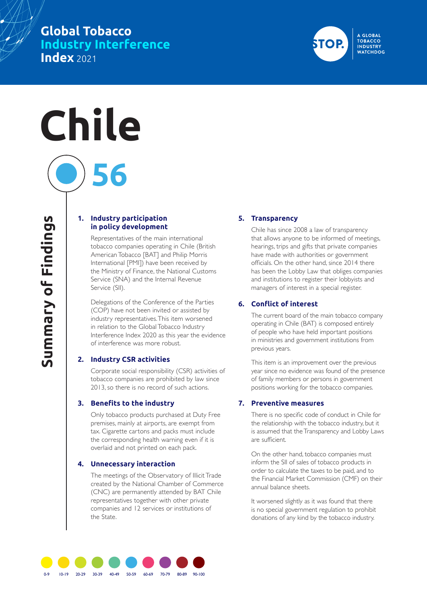# **Global Tobacco Industry Interference Index** 2021

# **Chile**

**1. Industry participation in policy development**

**56**

Representatives of the main international tobacco companies operating in Chile (British American Tobacco [BAT] and Philip Morris International [PMI]) have been received by the Ministry of Finance, the National Customs Service (SNA) and the Internal Revenue Service (SII).

Delegations of the Conference of the Parties (COP) have not been invited or assisted by industry representatives. This item worsened in relation to the Global Tobacco Industry Interference Index 2020 as this year the evidence of interference was more robust.

#### **2. Industry CSR activities**

Corporate social responsibility (CSR) activities of tobacco companies are prohibited by law since 2013, so there is no record of such actions.

#### **3. Benefits to the industry**

Only tobacco products purchased at Duty Free premises, mainly at airports, are exempt from tax. Cigarette cartons and packs must include the corresponding health warning even if it is overlaid and not printed on each pack.

#### **4. Unnecessary interaction**

The meetings of the Observatory of Illicit Trade created by the National Chamber of Commerce (CNC) are permanently attended by BAT Chile representatives together with other private companies and 12 services or institutions of the State.

#### **5. Transparency**

Chile has since 2008 a law of transparency that allows anyone to be informed of meetings, hearings, trips and gifts that private companies have made with authorities or government officials. On the other hand, since 2014 there has been the Lobby Law that obliges companies and institutions to register their lobbyists and managers of interest in a special register.

#### **6. Conflict of interest**

The current board of the main tobacco company operating in Chile (BAT) is composed entirely of people who have held important positions in ministries and government institutions from previous years.

This item is an improvement over the previous year since no evidence was found of the presence of family members or persons in government positions working for the tobacco companies.

### **7. Preventive measures**

There is no specific code of conduct in Chile for the relationship with the tobacco industry, but it is assumed that the Transparency and Lobby Laws are sufficient.

On the other hand, tobacco companies must inform the SII of sales of tobacco products in order to calculate the taxes to be paid, and to the Financial Market Commission (CMF) on their annual balance sheets.

It worsened slightly as it was found that there is no special government regulation to prohibit donations of any kind by the tobacco industry.